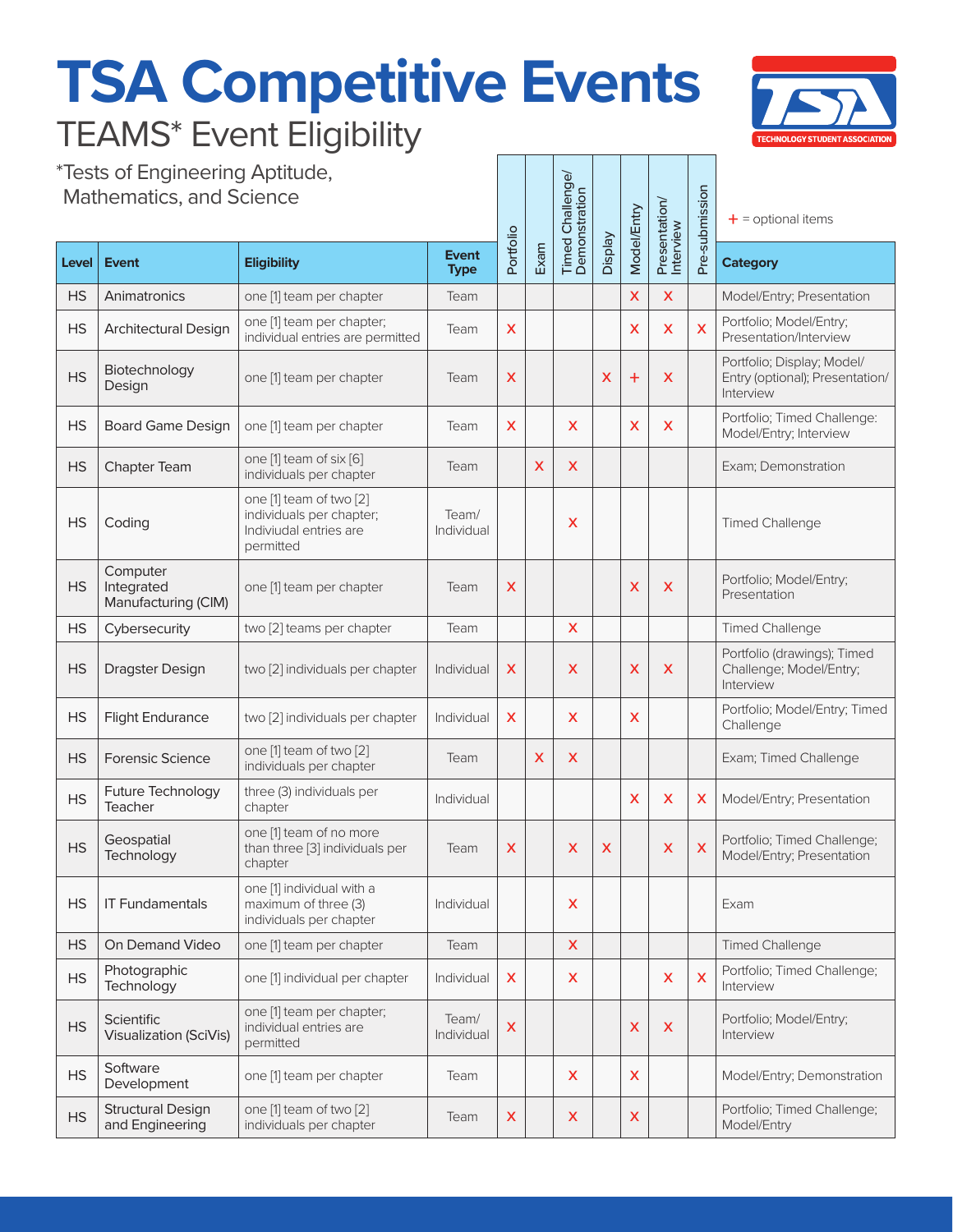## **TSA Competitive Events** TEAMS\* Event Eligibility



\*Tests of Engineering Aptitude, Mathematics, and Science

| Tests of Engineering Aptitude,<br><b>Mathematics, and Science</b> |                                               |                                                                                            |                             |                           | Timed Challenge/<br>Demonstration |   | <b>Model/Entry</b> | Presentation/<br>Interview | Pre-submission | $+$ = optional items |                                                                            |
|-------------------------------------------------------------------|-----------------------------------------------|--------------------------------------------------------------------------------------------|-----------------------------|---------------------------|-----------------------------------|---|--------------------|----------------------------|----------------|----------------------|----------------------------------------------------------------------------|
| Level                                                             | <b>Event</b>                                  | <b>Eligibility</b>                                                                         | <b>Event</b><br><b>Type</b> | Portfolio                 | Exam                              |   | <b>Display</b>     |                            |                |                      | <b>Category</b>                                                            |
| <b>HS</b>                                                         | Animatronics                                  | one [1] team per chapter                                                                   | Team                        |                           |                                   |   |                    | $\boldsymbol{\mathsf{x}}$  | X              |                      | Model/Entry; Presentation                                                  |
| <b>HS</b>                                                         | Architectural Design                          | one [1] team per chapter;<br>individual entries are permitted                              | Team                        | X                         |                                   |   |                    | x                          | X              | X                    | Portfolio; Model/Entry;<br>Presentation/Interview                          |
| <b>HS</b>                                                         | Biotechnology<br>Design                       | one [1] team per chapter                                                                   | Team                        | X                         |                                   |   | X                  | $\pm$                      | X              |                      | Portfolio; Display; Model/<br>Entry (optional); Presentation/<br>Interview |
| <b>HS</b>                                                         | <b>Board Game Design</b>                      | one [1] team per chapter                                                                   | Team                        | X                         |                                   | X |                    | X                          | X              |                      | Portfolio; Timed Challenge:<br>Model/Entry; Interview                      |
| <b>HS</b>                                                         | Chapter Team                                  | one [1] team of six [6]<br>individuals per chapter                                         | Team                        |                           | X                                 | X |                    |                            |                |                      | Exam; Demonstration                                                        |
| <b>HS</b>                                                         | Coding                                        | one [1] team of two [2]<br>individuals per chapter;<br>Indiviudal entries are<br>permitted | Team/<br>Individual         |                           |                                   | x |                    |                            |                |                      | <b>Timed Challenge</b>                                                     |
| <b>HS</b>                                                         | Computer<br>Integrated<br>Manufacturing (CIM) | one [1] team per chapter                                                                   | Team                        | X                         |                                   |   |                    | X                          | X              |                      | Portfolio; Model/Entry;<br>Presentation                                    |
| <b>HS</b>                                                         | Cybersecurity                                 | two [2] teams per chapter                                                                  | Team                        |                           |                                   | X |                    |                            |                |                      | <b>Timed Challenge</b>                                                     |
| <b>HS</b>                                                         | <b>Dragster Design</b>                        | two [2] individuals per chapter                                                            | Individual                  | X                         |                                   | X |                    | X                          | X              |                      | Portfolio (drawings); Timed<br>Challenge; Model/Entry;<br>Interview        |
| <b>HS</b>                                                         | <b>Flight Endurance</b>                       | two [2] individuals per chapter                                                            | Individual                  | X                         |                                   | X |                    | X                          |                |                      | Portfolio; Model/Entry; Timed<br>Challenge                                 |
| <b>HS</b>                                                         | <b>Forensic Science</b>                       | one [1] team of two [2]<br>individuals per chapter                                         | Team                        |                           | X                                 | X |                    |                            |                |                      | Exam; Timed Challenge                                                      |
| <b>HS</b>                                                         | <b>Future Technology</b><br>Teacher           | three (3) individuals per<br>chapter                                                       | Individual                  |                           |                                   |   |                    | X                          | X              | X                    | Model/Entry; Presentation                                                  |
| <b>HS</b>                                                         | Geospatial<br>Technology                      | one [1] team of no more<br>than three [3] individuals per<br>chapter                       | Team                        | X                         |                                   | X | x                  |                            | X              | $\mathsf{x}$         | Portfolio; Timed Challenge;<br>Model/Entry; Presentation                   |
| <b>HS</b>                                                         | <b>IT Fundamentals</b>                        | one [1] individual with a<br>maximum of three (3)<br>individuals per chapter               | Individual                  |                           |                                   | X |                    |                            |                |                      | Exam                                                                       |
| <b>HS</b>                                                         | On Demand Video                               | one [1] team per chapter                                                                   | Team                        |                           |                                   | X |                    |                            |                |                      | <b>Timed Challenge</b>                                                     |
| <b>HS</b>                                                         | Photographic<br>Technology                    | one [1] individual per chapter                                                             | Individual                  | X                         |                                   | X |                    |                            | X              | X                    | Portfolio; Timed Challenge;<br>Interview                                   |
| <b>HS</b>                                                         | Scientific<br><b>Visualization (SciVis)</b>   | one [1] team per chapter;<br>individual entries are<br>permitted                           | Team/<br>Individual         | $\boldsymbol{\mathsf{X}}$ |                                   |   |                    | X                          | X              |                      | Portfolio; Model/Entry;<br>Interview                                       |
| <b>HS</b>                                                         | Software<br>Development                       | one [1] team per chapter                                                                   | Team                        |                           |                                   | X |                    | X                          |                |                      | Model/Entry; Demonstration                                                 |
| <b>HS</b>                                                         | <b>Structural Design</b><br>and Engineering   | one [1] team of two [2]<br>individuals per chapter                                         | Team                        | X                         |                                   | X |                    | X                          |                |                      | Portfolio; Timed Challenge;<br>Model/Entry                                 |

nge/